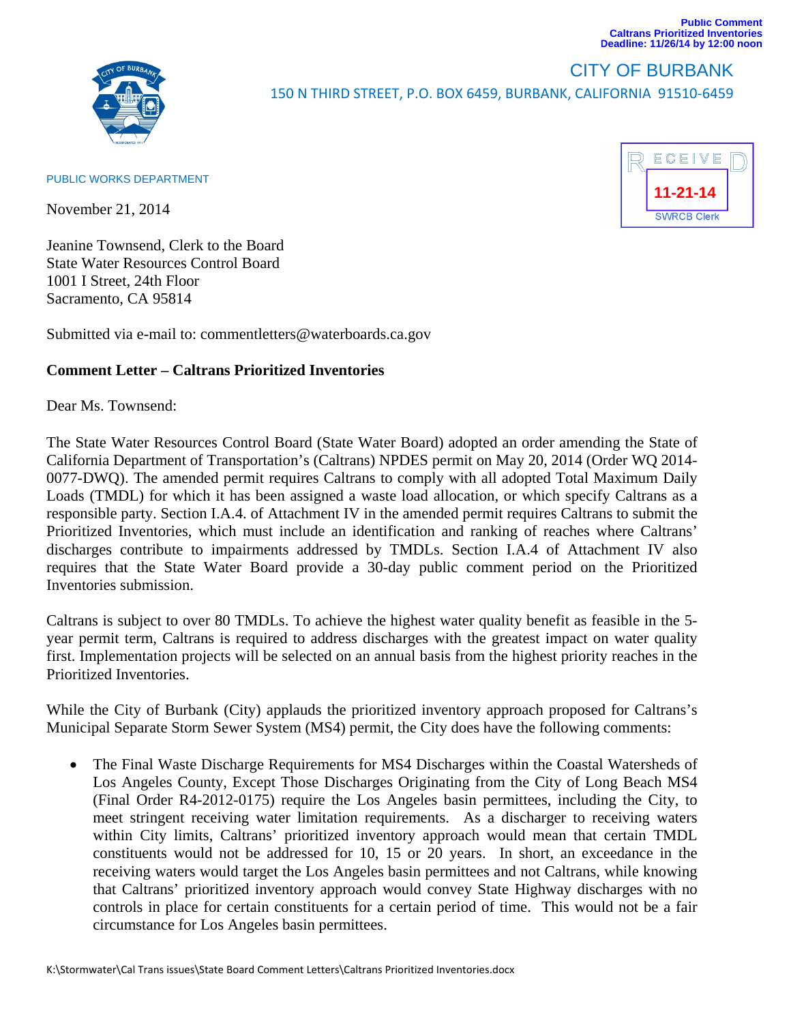



## CITY OF BURBANK 150 N THIRD STREET, P.O. BOX 6459, BURBANK, CALIFORNIA 91510‐6459

## PUBLIC WORKS DEPARTMENT

November 21, 2014

Jeanine Townsend, Clerk to the Board State Water Resources Control Board 1001 I Street, 24th Floor Sacramento, CA 95814

Submitted via e-mail to: commentletters@waterboards.ca.gov

## **Comment Letter – Caltrans Prioritized Inventories**

Dear Ms. Townsend:

The State Water Resources Control Board (State Water Board) adopted an order amending the State of California Department of Transportation's (Caltrans) NPDES permit on May 20, 2014 (Order WQ 2014- 0077-DWQ). The amended permit requires Caltrans to comply with all adopted Total Maximum Daily Loads (TMDL) for which it has been assigned a waste load allocation, or which specify Caltrans as a responsible party. Section I.A.4. of Attachment IV in the amended permit requires Caltrans to submit the Prioritized Inventories, which must include an identification and ranking of reaches where Caltrans' discharges contribute to impairments addressed by TMDLs. Section I.A.4 of Attachment IV also requires that the State Water Board provide a 30-day public comment period on the Prioritized Inventories submission.

Caltrans is subject to over 80 TMDLs. To achieve the highest water quality benefit as feasible in the 5 year permit term, Caltrans is required to address discharges with the greatest impact on water quality first. Implementation projects will be selected on an annual basis from the highest priority reaches in the Prioritized Inventories.

While the City of Burbank (City) applauds the prioritized inventory approach proposed for Caltrans's Municipal Separate Storm Sewer System (MS4) permit, the City does have the following comments:

• The Final Waste Discharge Requirements for MS4 Discharges within the Coastal Watersheds of Los Angeles County, Except Those Discharges Originating from the City of Long Beach MS4 (Final Order R4-2012-0175) require the Los Angeles basin permittees, including the City, to meet stringent receiving water limitation requirements. As a discharger to receiving waters within City limits, Caltrans' prioritized inventory approach would mean that certain TMDL constituents would not be addressed for 10, 15 or 20 years. In short, an exceedance in the receiving waters would target the Los Angeles basin permittees and not Caltrans, while knowing that Caltrans' prioritized inventory approach would convey State Highway discharges with no controls in place for certain constituents for a certain period of time. This would not be a fair circumstance for Los Angeles basin permittees.